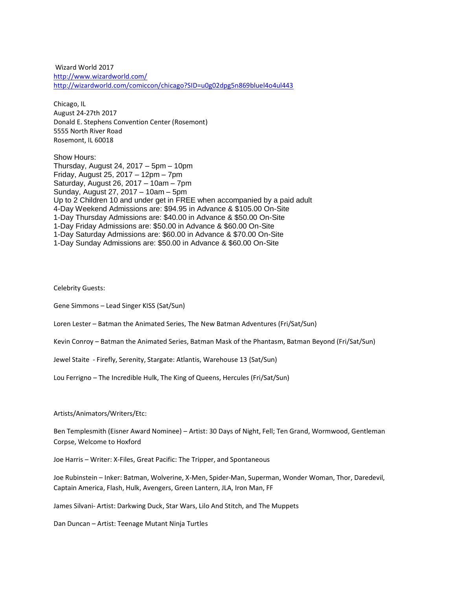Wizard World 2017 <http://www.wizardworld.com/> <http://wizardworld.com/comiccon/chicago?SID=u0g02dpg5n869bluel4o4ul443>

Chicago, IL August 24-27th 2017 Donald E. Stephens Convention Center (Rosemont) 5555 North River Road Rosemont, IL 60018

Show Hours: Thursday, August 24, 2017 – 5pm – 10pm Friday, August 25, 2017 – 12pm – 7pm Saturday, August 26, 2017 – 10am – 7pm Sunday, August 27, 2017 – 10am – 5pm Up to 2 Children 10 and under get in FREE when accompanied by a paid adult 4-Day Weekend Admissions are: \$94.95 in Advance & \$105.00 On-Site 1-Day Thursday Admissions are: \$40.00 in Advance & \$50.00 On-Site 1-Day Friday Admissions are: \$50.00 in Advance & \$60.00 On-Site 1-Day Saturday Admissions are: \$60.00 in Advance & \$70.00 On-Site 1-Day Sunday Admissions are: \$50.00 in Advance & \$60.00 On-Site

Celebrity Guests:

Gene Simmons – Lead Singer KISS (Sat/Sun)

Loren Lester – Batman the Animated Series, The New Batman Adventures (Fri/Sat/Sun)

Kevin Conroy – Batman the Animated Series, Batman Mask of the Phantasm, Batman Beyond (Fri/Sat/Sun)

Jewel Staite - Firefly, Serenity, Stargate: Atlantis, Warehouse 13 (Sat/Sun)

Lou Ferrigno – The Incredible Hulk, The King of Queens, Hercules (Fri/Sat/Sun)

Artists/Animators/Writers/Etc:

Ben Templesmith (Eisner Award Nominee) – Artist: 30 Days of Night, Fell; Ten Grand, Wormwood, Gentleman Corpse, Welcome to Hoxford

Joe Harris – Writer: X-Files, Great Pacific: The Tripper, and Spontaneous

Joe Rubinstein – Inker: Batman, Wolverine, X-Men, Spider-Man, Superman, Wonder Woman, Thor, Daredevil, Captain America, Flash, Hulk, Avengers, Green Lantern, JLA, Iron Man, FF

James Silvani- Artist: Darkwing Duck, Star Wars, Lilo And Stitch, and The Muppets

Dan Duncan – Artist: Teenage Mutant Ninja Turtles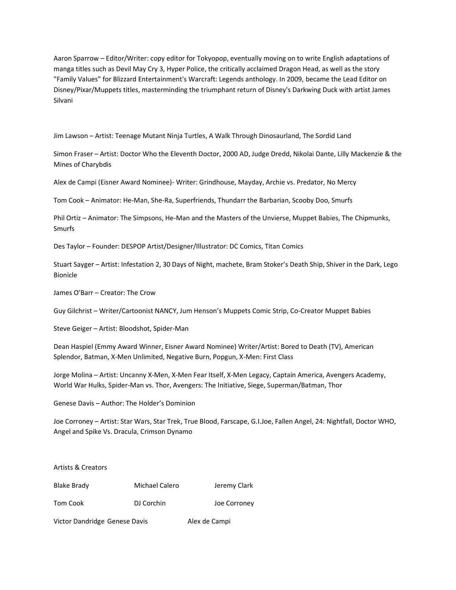Aaron Sparrow – Editor/Writer: copy editor for Tokyopop, eventually moving on to write English adaptations of manga titles such as Devil May Cry 3, Hyper Police, the critically acclaimed Dragon Head, as well as the story "Family Values" for Blizzard Entertainment's Warcraft: Legends anthology. In 2009, became the Lead Editor on Disney/Pixar/Muppets titles, masterminding the triumphant return of Disney's Darkwing Duck with artist James Silvani

Jim Lawson – Artist: Teenage Mutant Ninja Turtles, A Walk Through Dinosaurland, The Sordid Land

Simon Fraser – Artist: Doctor Who the Eleventh Doctor, 2000 AD, Judge Dredd, Nikolai Dante, Lilly Mackenzie & the Mines of Charybdis

Alex de Campi (Eisner Award Nominee)- Writer: Grindhouse, Mayday, Archie vs. Predator, No Mercy

Tom Cook – Animator: He-Man, She-Ra, Superfriends, Thundarr the Barbarian, Scooby Doo, Smurfs

Phil Ortiz – Animator: The Simpsons, He-Man and the Masters of the Unvierse, Muppet Babies, The Chipmunks, Smurfs

Des Taylor – Founder: DESPOP Artist/Designer/Illustrator: DC Comics, Titan Comics

Stuart Sayger – Artist: Infestation 2, 30 Days of Night, machete, Bram Stoker's Death Ship, Shiver in the Dark, Lego Bionicle

James O'Barr – Creator: The Crow

Guy Gilchrist – Writer/Cartoonist NANCY, Jum Henson's Muppets Comic Strip, Co-Creator Muppet Babies

Steve Geiger – Artist: Bloodshot, Spider-Man

Dean Haspiel (Emmy Award Winner, Eisner Award Nominee) Writer/Artist: Bored to Death (TV), American Splendor, Batman, X-Men Unlimited, Negative Burn, Popgun, X-Men: First Class

Jorge Molina – Artist: Uncanny X-Men, X-Men Fear Itself, X-Men Legacy, Captain America, Avengers Academy, World War Hulks, Spider-Man vs. Thor, Avengers: The Initiative, Siege, Superman/Batman, Thor

Genese Davis – Author: The Holder's Dominion

Joe Corroney – Artist: Star Wars, Star Trek, True Blood, Farscape, G.I.Joe, Fallen Angel, 24: Nightfall, Doctor WHO, Angel and Spike Vs. Dracula, Crimson Dynamo

| Artists & Creators            |                |               |              |
|-------------------------------|----------------|---------------|--------------|
| Blake Brady                   | Michael Calero |               | Jeremy Clark |
| Tom Cook                      | DJ Corchin     |               | Joe Corroney |
| Victor Dandridge Genese Davis |                | Alex de Campi |              |